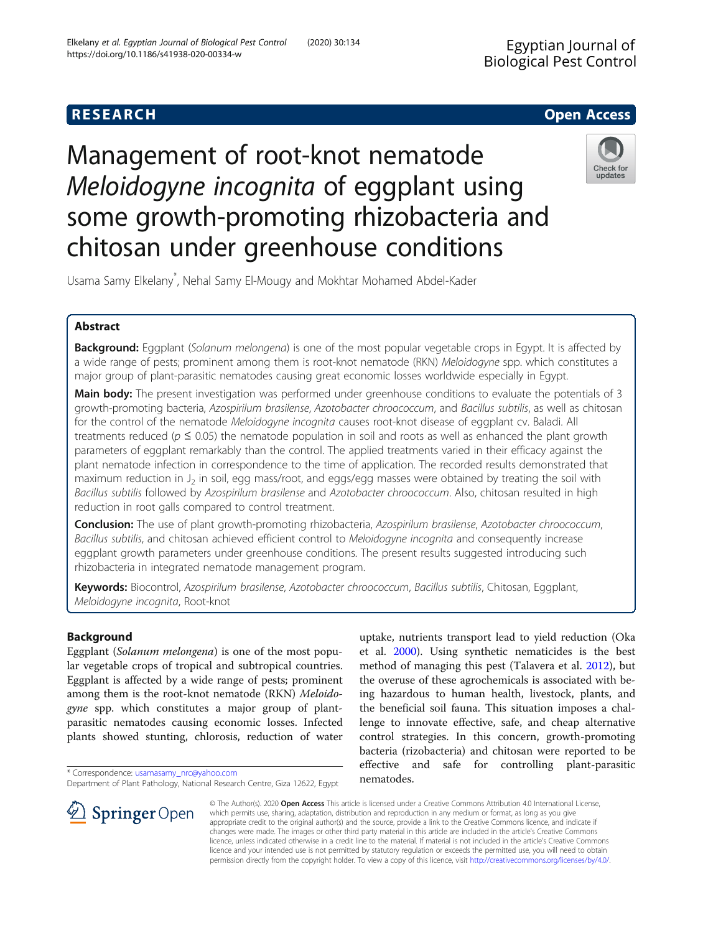# **RESEARCH CHE Open Access**

# Management of root-knot nematode Meloidogyne incognita of eggplant using some growth-promoting rhizobacteria and chitosan under greenhouse conditions



Usama Samy Elkelany\* , Nehal Samy El-Mougy and Mokhtar Mohamed Abdel-Kader

# Abstract

Background: Eggplant (Solanum melongena) is one of the most popular vegetable crops in Egypt. It is affected by a wide range of pests; prominent among them is root-knot nematode (RKN) Meloidogyne spp. which constitutes a major group of plant-parasitic nematodes causing great economic losses worldwide especially in Egypt.

Main body: The present investigation was performed under greenhouse conditions to evaluate the potentials of 3 growth-promoting bacteria, Azospirilum brasilense, Azotobacter chroococcum, and Bacillus subtilis, as well as chitosan for the control of the nematode *Meloidogyne incognita* causes root-knot disease of eggplant cv. Baladi. All treatments reduced ( $p \le 0.05$ ) the nematode population in soil and roots as well as enhanced the plant growth parameters of eggplant remarkably than the control. The applied treatments varied in their efficacy against the plant nematode infection in correspondence to the time of application. The recorded results demonstrated that maximum reduction in  $J_2$  in soil, egg mass/root, and eggs/egg masses were obtained by treating the soil with Bacillus subtilis followed by Azospirilum brasilense and Azotobacter chroococcum. Also, chitosan resulted in high reduction in root galls compared to control treatment.

**Conclusion:** The use of plant growth-promoting rhizobacteria, Azospirilum brasilense, Azotobacter chroococcum, Bacillus subtilis, and chitosan achieved efficient control to Meloidogyne incognita and consequently increase eggplant growth parameters under greenhouse conditions. The present results suggested introducing such rhizobacteria in integrated nematode management program.

Keywords: Biocontrol, Azospirilum brasilense, Azotobacter chroococcum, Bacillus subtilis, Chitosan, Eggplant, Meloidogyne incognita, Root-knot

# Background

Eggplant (Solanum melongena) is one of the most popular vegetable crops of tropical and subtropical countries. Eggplant is affected by a wide range of pests; prominent among them is the root-knot nematode (RKN) Meloidogyne spp. which constitutes a major group of plantparasitic nematodes causing economic losses. Infected plants showed stunting, chlorosis, reduction of water

\* Correspondence: [usamasamy\\_nrc@yahoo.com](mailto:usamasamy_nrc@yahoo.com)

uptake, nutrients transport lead to yield reduction (Oka et al. [2000\)](#page-6-0). Using synthetic nematicides is the best method of managing this pest (Talavera et al. [2012](#page-6-0)), but the overuse of these agrochemicals is associated with being hazardous to human health, livestock, plants, and the beneficial soil fauna. This situation imposes a challenge to innovate effective, safe, and cheap alternative control strategies. In this concern, growth-promoting bacteria (rizobacteria) and chitosan were reported to be effective and safe for controlling plant-parasitic nematodes.



© The Author(s). 2020 Open Access This article is licensed under a Creative Commons Attribution 4.0 International License, which permits use, sharing, adaptation, distribution and reproduction in any medium or format, as long as you give appropriate credit to the original author(s) and the source, provide a link to the Creative Commons licence, and indicate if changes were made. The images or other third party material in this article are included in the article's Creative Commons licence, unless indicated otherwise in a credit line to the material. If material is not included in the article's Creative Commons licence and your intended use is not permitted by statutory regulation or exceeds the permitted use, you will need to obtain permission directly from the copyright holder. To view a copy of this licence, visit <http://creativecommons.org/licenses/by/4.0/>.

Department of Plant Pathology, National Research Centre, Giza 12622, Egypt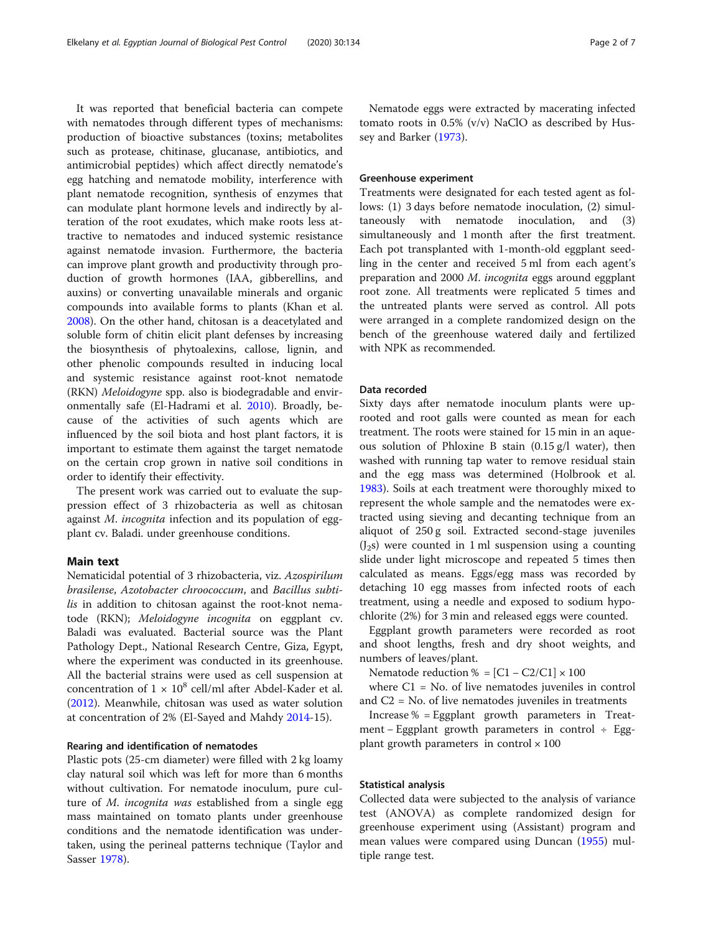It was reported that beneficial bacteria can compete with nematodes through different types of mechanisms: production of bioactive substances (toxins; metabolites such as protease, chitinase, glucanase, antibiotics, and antimicrobial peptides) which affect directly nematode's egg hatching and nematode mobility, interference with plant nematode recognition, synthesis of enzymes that can modulate plant hormone levels and indirectly by alteration of the root exudates, which make roots less attractive to nematodes and induced systemic resistance against nematode invasion. Furthermore, the bacteria can improve plant growth and productivity through production of growth hormones (IAA, gibberellins, and auxins) or converting unavailable minerals and organic compounds into available forms to plants (Khan et al. [2008](#page-6-0)). On the other hand, chitosan is a deacetylated and soluble form of chitin elicit plant defenses by increasing the biosynthesis of phytoalexins, callose, lignin, and other phenolic compounds resulted in inducing local and systemic resistance against root-knot nematode (RKN) Meloidogyne spp. also is biodegradable and environmentally safe (El-Hadrami et al. [2010](#page-5-0)). Broadly, because of the activities of such agents which are influenced by the soil biota and host plant factors, it is important to estimate them against the target nematode on the certain crop grown in native soil conditions in order to identify their effectivity.

The present work was carried out to evaluate the suppression effect of 3 rhizobacteria as well as chitosan against M. incognita infection and its population of eggplant cv. Baladi. under greenhouse conditions.

## Main text

Nematicidal potential of 3 rhizobacteria, viz. Azospirilum brasilense, Azotobacter chroococcum, and Bacillus subtilis in addition to chitosan against the root-knot nematode (RKN); Meloidogyne incognita on eggplant cv. Baladi was evaluated. Bacterial source was the Plant Pathology Dept., National Research Centre, Giza, Egypt, where the experiment was conducted in its greenhouse. All the bacterial strains were used as cell suspension at concentration of  $1 \times 10^8$  cell/ml after Abdel-Kader et al. ([2012](#page-5-0)). Meanwhile, chitosan was used as water solution at concentration of 2% (El-Sayed and Mahdy [2014-](#page-5-0)15).

## Rearing and identification of nematodes

Plastic pots (25-cm diameter) were filled with 2 kg loamy clay natural soil which was left for more than 6 months without cultivation. For nematode inoculum, pure culture of M. incognita was established from a single egg mass maintained on tomato plants under greenhouse conditions and the nematode identification was undertaken, using the perineal patterns technique (Taylor and Sasser [1978](#page-6-0)).

Nematode eggs were extracted by macerating infected tomato roots in 0.5% (v/v) NaClO as described by Hussey and Barker [\(1973\)](#page-5-0).

## Greenhouse experiment

Treatments were designated for each tested agent as follows: (1) 3 days before nematode inoculation, (2) simultaneously with nematode inoculation, and (3) simultaneously and 1 month after the first treatment. Each pot transplanted with 1-month-old eggplant seedling in the center and received 5 ml from each agent's preparation and 2000 M. incognita eggs around eggplant root zone. All treatments were replicated 5 times and the untreated plants were served as control. All pots were arranged in a complete randomized design on the bench of the greenhouse watered daily and fertilized with NPK as recommended.

## Data recorded

Sixty days after nematode inoculum plants were uprooted and root galls were counted as mean for each treatment. The roots were stained for 15 min in an aqueous solution of Phloxine B stain (0.15 g/l water), then washed with running tap water to remove residual stain and the egg mass was determined (Holbrook et al. [1983](#page-5-0)). Soils at each treatment were thoroughly mixed to represent the whole sample and the nematodes were extracted using sieving and decanting technique from an aliquot of 250 g soil. Extracted second-stage juveniles  $(J<sub>2</sub>s)$  were counted in 1 ml suspension using a counting slide under light microscope and repeated 5 times then calculated as means. Eggs/egg mass was recorded by detaching 10 egg masses from infected roots of each treatment, using a needle and exposed to sodium hypochlorite (2%) for 3 min and released eggs were counted.

Eggplant growth parameters were recorded as root and shoot lengths, fresh and dry shoot weights, and numbers of leaves/plant.

Nematode reduction % =  $[C1 - C2/C1] \times 100$ 

where  $C1 = No$ . of live nematodes juveniles in control and C2 = No. of live nematodes juveniles in treatments

Increase % = Eggplant growth parameters in Treatment − Eggplant growth parameters in control ÷ Eggplant growth parameters in control  $\times$  100

## Statistical analysis

Collected data were subjected to the analysis of variance test (ANOVA) as complete randomized design for greenhouse experiment using (Assistant) program and mean values were compared using Duncan [\(1955\)](#page-5-0) multiple range test.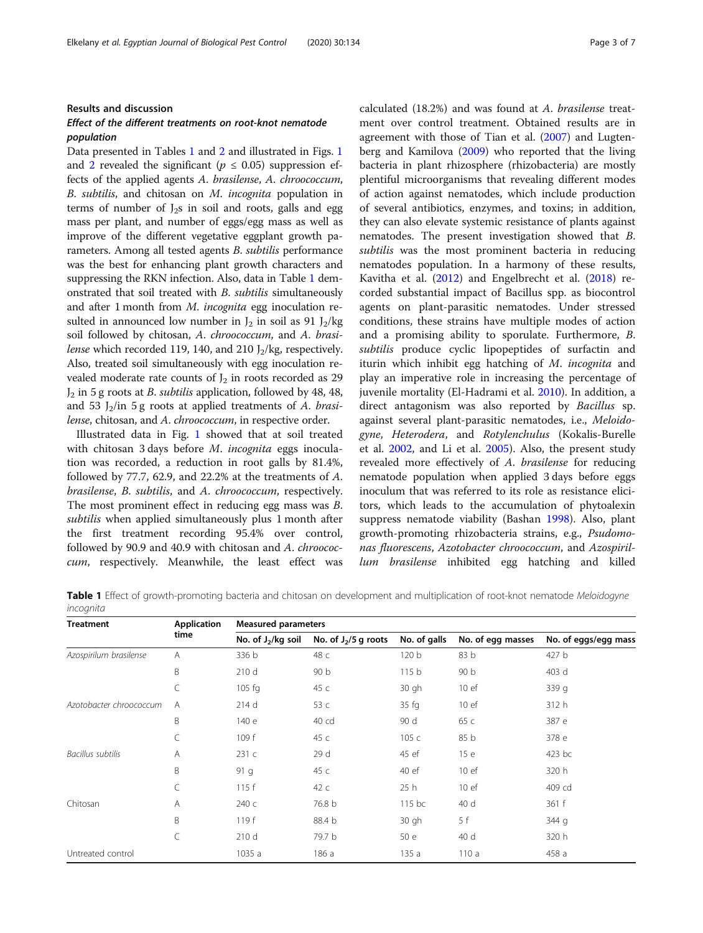## Results and discussion

## Effect of the different treatments on root-knot nematode population

Data presented in Tables 1 and [2](#page-3-0) and illustrated in Figs. [1](#page-3-0) and [2](#page-4-0) revealed the significant ( $p \le 0.05$ ) suppression effects of the applied agents A. brasilense, A. chroococcum, B. subtilis, and chitosan on M. incognita population in terms of number of  $J_2s$  in soil and roots, galls and egg mass per plant, and number of eggs/egg mass as well as improve of the different vegetative eggplant growth parameters. Among all tested agents B. subtilis performance was the best for enhancing plant growth characters and suppressing the RKN infection. Also, data in Table 1 demonstrated that soil treated with B. subtilis simultaneously and after 1 month from M. incognita egg inoculation resulted in announced low number in  $J_2$  in soil as 91  $J_2/kg$ soil followed by chitosan, A. chroococcum, and A. brasilense which recorded 119, 140, and 210  $J_2/kg$ , respectively. Also, treated soil simultaneously with egg inoculation revealed moderate rate counts of  $J_2$  in roots recorded as 29  $J_2$  in 5 g roots at *B. subtilis* application, followed by 48, 48, and 53 J<sub>2</sub>/in 5 g roots at applied treatments of A. brasilense, chitosan, and A. chroococcum, in respective order.

Illustrated data in Fig. [1](#page-3-0) showed that at soil treated with chitosan 3 days before M. incognita eggs inoculation was recorded, a reduction in root galls by 81.4%, followed by 77.7, 62.9, and 22.2% at the treatments of A. brasilense, B. subtilis, and A. chroococcum, respectively. The most prominent effect in reducing egg mass was B. subtilis when applied simultaneously plus 1 month after the first treatment recording 95.4% over control, followed by 90.9 and 40.9 with chitosan and A. chroococcum, respectively. Meanwhile, the least effect was calculated (18.2%) and was found at A. brasilense treatment over control treatment. Obtained results are in agreement with those of Tian et al. ([2007\)](#page-6-0) and Lugtenberg and Kamilova ([2009](#page-6-0)) who reported that the living bacteria in plant rhizosphere (rhizobacteria) are mostly plentiful microorganisms that revealing different modes of action against nematodes, which include production of several antibiotics, enzymes, and toxins; in addition, they can also elevate systemic resistance of plants against nematodes. The present investigation showed that B. subtilis was the most prominent bacteria in reducing nematodes population. In a harmony of these results, Kavitha et al. ([2012](#page-6-0)) and Engelbrecht et al. [\(2018](#page-5-0)) recorded substantial impact of Bacillus spp. as biocontrol agents on plant-parasitic nematodes. Under stressed conditions, these strains have multiple modes of action and a promising ability to sporulate. Furthermore, B. subtilis produce cyclic lipopeptides of surfactin and iturin which inhibit egg hatching of M. incognita and play an imperative role in increasing the percentage of juvenile mortality (El-Hadrami et al. [2010](#page-5-0)). In addition, a direct antagonism was also reported by Bacillus sp. against several plant-parasitic nematodes, i.e., Meloidogyne, Heterodera, and Rotylenchulus (Kokalis-Burelle et al. [2002](#page-6-0), and Li et al. [2005](#page-6-0)). Also, the present study revealed more effectively of A. brasilense for reducing nematode population when applied 3 days before eggs inoculum that was referred to its role as resistance elicitors, which leads to the accumulation of phytoalexin suppress nematode viability (Bashan [1998\)](#page-5-0). Also, plant growth-promoting rhizobacteria strains, e.g., Psudomonas fluorescens, Azotobacter chroococcum, and Azospirillum brasilense inhibited egg hatching and killed

Table 1 Effect of growth-promoting bacteria and chitosan on development and multiplication of root-knot nematode Meloidogyne incognita

| <b>Treatment</b>        | <b>Application</b><br>time | <b>Measured parameters</b> |                        |                  |                   |                      |  |  |
|-------------------------|----------------------------|----------------------------|------------------------|------------------|-------------------|----------------------|--|--|
|                         |                            | No. of $J_2/kg$ soil       | No. of $J_2/5$ g roots | No. of galls     | No. of egg masses | No. of eggs/egg mass |  |  |
| Azospirilum brasilense  | $\overline{A}$             | 336 b                      | 48 c                   | 120 <sub>b</sub> | 83 b              | 427 b                |  |  |
|                         | B                          | 210 d                      | 90 b                   | 115 <sub>b</sub> | 90 b              | 403 d                |  |  |
|                         | $\subset$                  | $105$ fg                   | 45 c                   | $30$ gh          | 10ef              | 339 g                |  |  |
| Azotobacter chroococcum | A                          | 214 d                      | 53 c                   | 35 <sub>fg</sub> | 10ef              | 312 h                |  |  |
|                         | B                          | 140 e                      | 40 cd                  | 90 d             | 65 c              | 387 e                |  |  |
|                         | C                          | 109f                       | 45 c                   | 105c             | 85 b              | 378 e                |  |  |
| Bacillus subtilis       | A                          | 231 c                      | 29 d                   | 45 ef            | 15 <sub>e</sub>   | 423 bc               |  |  |
|                         | B                          | 91q                        | 45 c                   | 40 ef            | 10ef              | 320 h                |  |  |
|                         | C                          | 115f                       | 42 c                   | 25h              | 10ef              | 409 cd               |  |  |
| Chitosan                | A                          | 240 с                      | 76.8 b                 | $115$ bc         | 40 d              | 361 f                |  |  |
|                         | B                          | 119f                       | 88.4 b                 | $30$ gh          | 5 f               | 344 g                |  |  |
|                         | C                          | 210 d                      | 79.7 b                 | 50 e             | 40 d              | 320 h                |  |  |
| Untreated control       |                            | 1035 a                     | 186 a                  | 135a             | 110a              | 458 a                |  |  |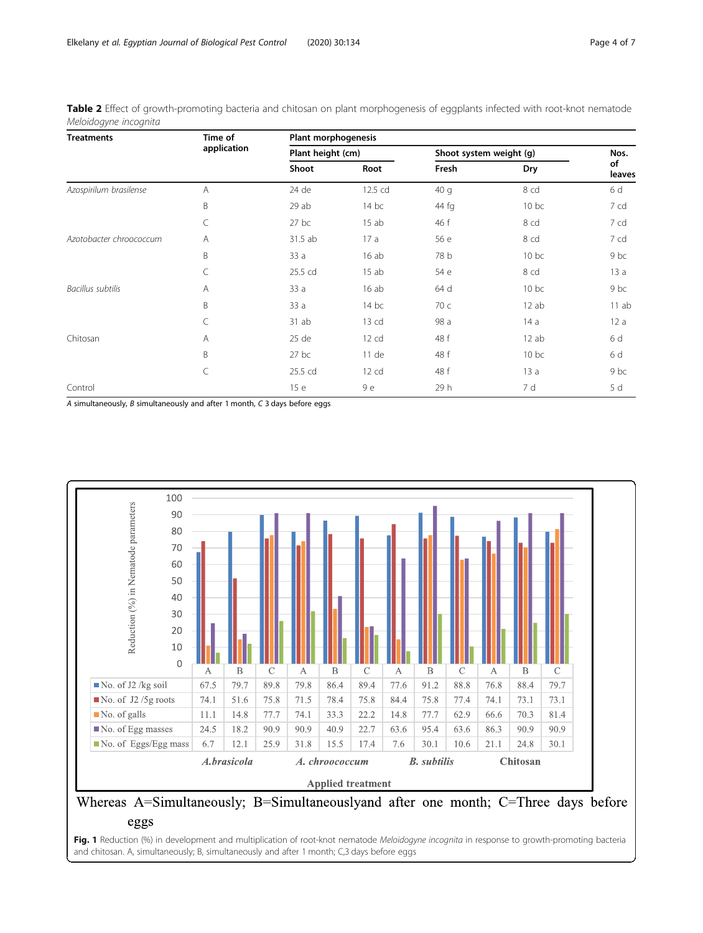<span id="page-3-0"></span>Table 2 Effect of growth-promoting bacteria and chitosan on plant morphogenesis of eggplants infected with root-knot nematode Meloidogyne incognita

| <b>Treatments</b>       | Time of     | Plant morphogenesis |         |                         |                  |              |  |  |
|-------------------------|-------------|---------------------|---------|-------------------------|------------------|--------------|--|--|
|                         | application | Plant height (cm)   |         | Shoot system weight (g) |                  | Nos.         |  |  |
|                         |             | Shoot               | Root    | Fresh                   | Dry              | οf<br>leaves |  |  |
| Azospirilum brasilense  | A           | 24 de               | 12.5 cd | 40q                     | 8 cd             | 6 d          |  |  |
|                         | B           | 29ab                | $14$ bc | 44 fg                   | $10$ bc          | 7 cd         |  |  |
|                         | С           | $27$ bc             | 15ab    | 46 f                    | 8 cd             | 7 cd         |  |  |
| Azotobacter chroococcum | A           | 31.5 ab             | 17a     | 56 e                    | 8 cd             | 7 cd         |  |  |
|                         | B           | 33 a                | 16ab    | 78 b                    | $10$ bc          | 9 bc         |  |  |
|                         | С           | 25.5 cd             | 15ab    | 54 e                    | 8 cd             | 13a          |  |  |
| Bacillus subtilis       | Α           | 33a                 | 16ab    | 64 d                    | 10 <sub>bc</sub> | 9 bc         |  |  |
|                         | B           | 33 a                | $14$ bc | 70 с                    | 12ab             | 11ab         |  |  |
|                         | С           | $31$ ab             | 13 cd   | 98 a                    | 14 a             | 12a          |  |  |
| Chitosan                | Α           | $25$ de             | 12 cd   | 48 f                    | 12ab             | 6 d          |  |  |
|                         | B           | $27$ bc             | 11 de   | 48 f                    | $10$ bc          | 6 d          |  |  |
|                         | C           | 25.5 cd             | 12 cd   | 48 f                    | 13a              | 9 bc         |  |  |
| Control                 |             | 15 e                | 9 e     | 29 h                    | 7 d              | 5 d          |  |  |

A simultaneously, B simultaneously and after 1 month, C 3 days before eggs



and chitosan. A, simultaneously; B, simultaneously and after 1 month; C,3 days before eggs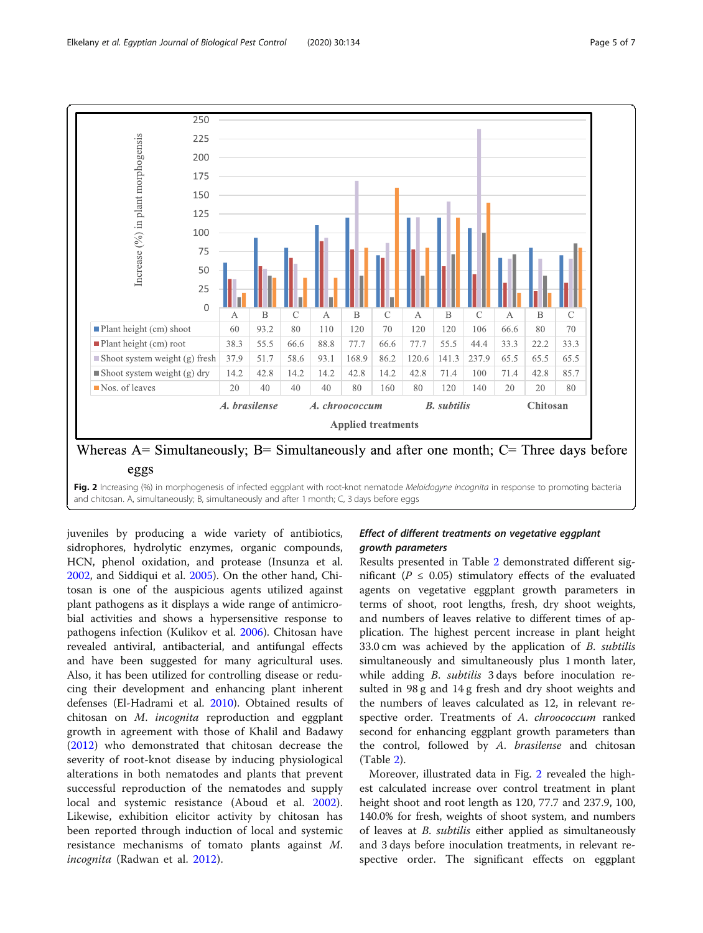<span id="page-4-0"></span>

Fig. 2 Increasing (%) in morphogenesis of infected eggplant with root-knot nematode Meloidogyne incognita in response to promoting bacteria and chitosan. A, simultaneously; B, simultaneously and after 1 month; C, 3 days before eggs

juveniles by producing a wide variety of antibiotics, sidrophores, hydrolytic enzymes, organic compounds, HCN, phenol oxidation, and protease (Insunza et al. [2002](#page-5-0), and Siddiqui et al. [2005](#page-6-0)). On the other hand, Chitosan is one of the auspicious agents utilized against plant pathogens as it displays a wide range of antimicrobial activities and shows a hypersensitive response to pathogens infection (Kulikov et al. [2006](#page-6-0)). Chitosan have revealed antiviral, antibacterial, and antifungal effects and have been suggested for many agricultural uses. Also, it has been utilized for controlling disease or reducing their development and enhancing plant inherent defenses (El-Hadrami et al. [2010\)](#page-5-0). Obtained results of chitosan on M. incognita reproduction and eggplant growth in agreement with those of Khalil and Badawy ([2012\)](#page-6-0) who demonstrated that chitosan decrease the severity of root-knot disease by inducing physiological alterations in both nematodes and plants that prevent successful reproduction of the nematodes and supply local and systemic resistance (Aboud et al. [2002](#page-5-0)). Likewise, exhibition elicitor activity by chitosan has been reported through induction of local and systemic resistance mechanisms of tomato plants against M. incognita (Radwan et al. [2012\)](#page-6-0).

## Effect of different treatments on vegetative eggplant growth parameters

Results presented in Table [2](#page-3-0) demonstrated different significant ( $P \leq 0.05$ ) stimulatory effects of the evaluated agents on vegetative eggplant growth parameters in terms of shoot, root lengths, fresh, dry shoot weights, and numbers of leaves relative to different times of application. The highest percent increase in plant height 33.0 cm was achieved by the application of B. subtilis simultaneously and simultaneously plus 1 month later, while adding *B. subtilis* 3 days before inoculation resulted in 98 g and 14 g fresh and dry shoot weights and the numbers of leaves calculated as 12, in relevant respective order. Treatments of A. chroococcum ranked second for enhancing eggplant growth parameters than the control, followed by A. brasilense and chitosan (Table [2\)](#page-3-0).

Moreover, illustrated data in Fig. 2 revealed the highest calculated increase over control treatment in plant height shoot and root length as 120, 77.7 and 237.9, 100, 140.0% for fresh, weights of shoot system, and numbers of leaves at B. subtilis either applied as simultaneously and 3 days before inoculation treatments, in relevant respective order. The significant effects on eggplant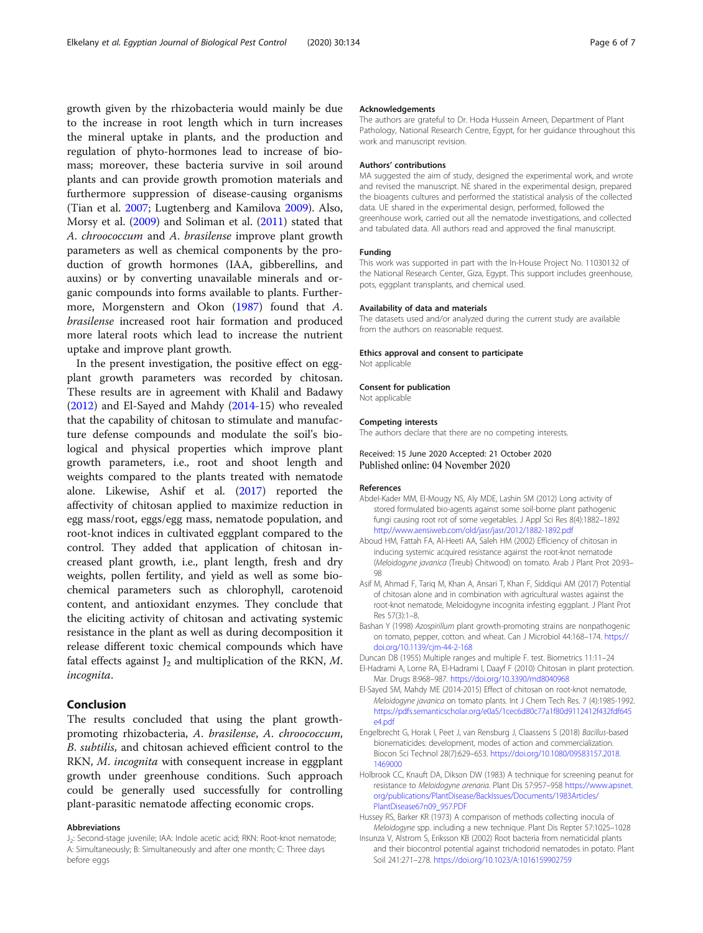<span id="page-5-0"></span>growth given by the rhizobacteria would mainly be due to the increase in root length which in turn increases the mineral uptake in plants, and the production and regulation of phyto-hormones lead to increase of biomass; moreover, these bacteria survive in soil around plants and can provide growth promotion materials and furthermore suppression of disease-causing organisms (Tian et al. [2007;](#page-6-0) Lugtenberg and Kamilova [2009](#page-6-0)). Also, Morsy et al. ([2009](#page-6-0)) and Soliman et al. ([2011](#page-6-0)) stated that A. chroococcum and A. brasilense improve plant growth parameters as well as chemical components by the production of growth hormones (IAA, gibberellins, and auxins) or by converting unavailable minerals and organic compounds into forms available to plants. Furthermore, Morgenstern and Okon ([1987\)](#page-6-0) found that A. brasilense increased root hair formation and produced more lateral roots which lead to increase the nutrient uptake and improve plant growth.

In the present investigation, the positive effect on eggplant growth parameters was recorded by chitosan. These results are in agreement with Khalil and Badawy ([2012](#page-6-0)) and El-Sayed and Mahdy (2014-15) who revealed that the capability of chitosan to stimulate and manufacture defense compounds and modulate the soil's biological and physical properties which improve plant growth parameters, i.e., root and shoot length and weights compared to the plants treated with nematode alone. Likewise, Ashif et al. (2017) reported the affectivity of chitosan applied to maximize reduction in egg mass/root, eggs/egg mass, nematode population, and root-knot indices in cultivated eggplant compared to the control. They added that application of chitosan increased plant growth, i.e., plant length, fresh and dry weights, pollen fertility, and yield as well as some biochemical parameters such as chlorophyll, carotenoid content, and antioxidant enzymes. They conclude that the eliciting activity of chitosan and activating systemic resistance in the plant as well as during decomposition it release different toxic chemical compounds which have fatal effects against  $J_2$  and multiplication of the RKN, M. incognita.

## Conclusion

The results concluded that using the plant growthpromoting rhizobacteria, A. brasilense, A. chroococcum, B. subtilis, and chitosan achieved efficient control to the RKN, M. incognita with consequent increase in eggplant growth under greenhouse conditions. Such approach could be generally used successfully for controlling plant-parasitic nematode affecting economic crops.

#### Abbreviations

#### Acknowledgements

The authors are grateful to Dr. Hoda Hussein Ameen, Department of Plant Pathology, National Research Centre, Egypt, for her guidance throughout this work and manuscript revision.

## Authors' contributions

MA suggested the aim of study, designed the experimental work, and wrote and revised the manuscript. NE shared in the experimental design, prepared the bioagents cultures and performed the statistical analysis of the collected data. UE shared in the experimental design, performed, followed the greenhouse work, carried out all the nematode investigations, and collected and tabulated data. All authors read and approved the final manuscript.

#### Funding

This work was supported in part with the In-House Project No. 11030132 of the National Research Center, Giza, Egypt. This support includes greenhouse, pots, eggplant transplants, and chemical used.

#### Availability of data and materials

The datasets used and/or analyzed during the current study are available from the authors on reasonable request.

#### Ethics approval and consent to participate

Not applicable

Consent for publication

Not applicable

#### Competing interests

The authors declare that there are no competing interests.

#### Received: 15 June 2020 Accepted: 21 October 2020 Published online: 04 November 2020

#### References

- Abdel-Kader MM, El-Mougy NS, Aly MDE, Lashin SM (2012) Long activity of stored formulated bio-agents against some soil-borne plant pathogenic fungi causing root rot of some vegetables. J Appl Sci Res 8(4):1882–1892 <http://www.aensiweb.com/old/jasr/jasr/2012/1882-1892.pdf>
- Aboud HM, Fattah FA, Al-Heeti AA, Saleh HM (2002) Efficiency of chitosan in inducing systemic acquired resistance against the root-knot nematode (Meloidogyne javanica (Treub) Chitwood) on tomato. Arab J Plant Prot 20:93– 98
- Asif M, Ahmad F, Tariq M, Khan A, Ansari T, Khan F, Siddiqui AM (2017) Potential of chitosan alone and in combination with agricultural wastes against the root-knot nematode, Meloidogyne incognita infesting eggplant. J Plant Prot Res 57(3):1–8.
- Bashan Y (1998) Azospirillum plant growth-promoting strains are nonpathogenic on tomato, pepper, cotton. and wheat. Can J Microbiol 44:168–174. [https://](https://doi.org/10.1139/cjm-44-2-168) [doi.org/10.1139/cjm-44-2-168](https://doi.org/10.1139/cjm-44-2-168)
- Duncan DB (1955) Multiple ranges and multiple F. test. Biometrics 11:11–24
- El-Hadrami A, Lorne RA, El-Hadrami I, Daayf F (2010) Chitosan in plant protection. Mar. Drugs 8:968–987. <https://doi.org/10.3390/md8040968>
- El-Sayed SM, Mahdy ME (2014-2015) Effect of chitosan on root-knot nematode, Meloidogyne javanica on tomato plants. Int J Chem Tech Res. 7 (4):1985-1992. [https://pdfs.semanticscholar.org/e0a5/1cec6d80c77a1f80d9112412f432fdf645](https://pdfs.semanticscholar.org/e0a5/1cec6d80c77a1f80d9112412f432fdf645e4.pdf) [e4.pdf](https://pdfs.semanticscholar.org/e0a5/1cec6d80c77a1f80d9112412f432fdf645e4.pdf)
- Engelbrecht G, Horak I, Peet J, van Rensburg J, Claassens S (2018) Bacillus-based bionematicides: development, modes of action and commercialization. Biocon Sci Technol 28(7):629–653. [https://doi.org/10.1080/09583157.2018.](https://doi.org/10.1080/09583157.2018.1469000) [1469000](https://doi.org/10.1080/09583157.2018.1469000)
- Holbrook CC, Knauft DA, Dikson DW (1983) A technique for screening peanut for resistance to Meloidogyne arenaria. Plant Dis 57:957–958 [https://www.apsnet.](https://www.apsnet.org/publications/PlantDisease/BackIssues/Documents/1983Articles/PlantDisease67n09_957.PDF) [org/publications/PlantDisease/BackIssues/Documents/1983Articles/](https://www.apsnet.org/publications/PlantDisease/BackIssues/Documents/1983Articles/PlantDisease67n09_957.PDF) [PlantDisease67n09\\_957.PDF](https://www.apsnet.org/publications/PlantDisease/BackIssues/Documents/1983Articles/PlantDisease67n09_957.PDF)
- Hussey RS, Barker KR (1973) A comparison of methods collecting inocula of Meloidogyne spp. including a new technique. Plant Dis Repter 57:1025–1028
- Insunza V, Alstrom S, Eriksson KB (2002) Root bacteria from nematicidal plants and their biocontrol potential against trichodorid nematodes in potato. Plant Soil 241:271–278. <https://doi.org/10.1023/A:1016159902759>

J2: Second-stage juvenile; IAA: Indole acetic acid; RKN: Root-knot nematode; A: Simultaneously; B: Simultaneously and after one month; C: Three days before eggs